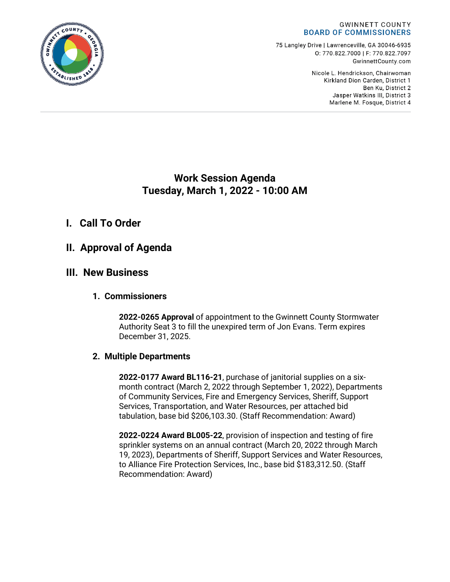#### **GWINNETT COUNTY BOARD OF COMMISSIONERS**

75 Langley Drive | Lawrenceville, GA 30046-6935 0:770.822.7000 | F: 770.822.7097 GwinnettCounty.com

> Nicole L. Hendrickson, Chairwoman Kirkland Dion Carden, District 1 Ben Ku. District 2 Jasper Watkins III, District 3 Marlene M. Fosque, District 4

## **Work Session Agenda Tuesday, March 1, 2022 - 10:00 AM**

# **I. Call To Order**

## **II. Approval of Agenda**

## **III. New Business**

### **1. Commissioners**

**2022-0265 Approval** of appointment to the Gwinnett County Stormwater Authority Seat 3 to fill the unexpired term of Jon Evans. Term expires December 31, 2025.

## **2. Multiple Departments**

**2022-0177 Award BL116-21**, purchase of janitorial supplies on a sixmonth contract (March 2, 2022 through September 1, 2022), Departments of Community Services, Fire and Emergency Services, Sheriff, Support Services, Transportation, and Water Resources, per attached bid tabulation, base bid \$206,103.30. (Staff Recommendation: Award)

**2022-0224 Award BL005-22**, provision of inspection and testing of fire sprinkler systems on an annual contract (March 20, 2022 through March 19, 2023), Departments of Sheriff, Support Services and Water Resources, to Alliance Fire Protection Services, Inc., base bid \$183,312.50. (Staff Recommendation: Award)

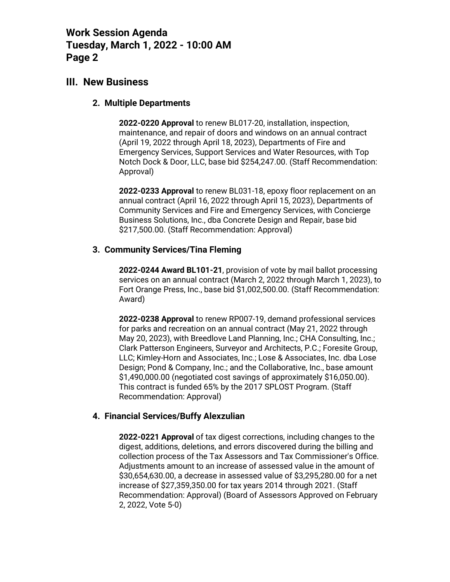### **III. New Business**

### **2. Multiple Departments**

**2022-0220 Approval** to renew BL017-20, installation, inspection, maintenance, and repair of doors and windows on an annual contract (April 19, 2022 through April 18, 2023), Departments of Fire and Emergency Services, Support Services and Water Resources, with Top Notch Dock & Door, LLC, base bid \$254,247.00. (Staff Recommendation: Approval)

**2022-0233 Approval** to renew BL031-18, epoxy floor replacement on an annual contract (April 16, 2022 through April 15, 2023), Departments of Community Services and Fire and Emergency Services, with Concierge Business Solutions, Inc., dba Concrete Design and Repair, base bid \$217,500.00. (Staff Recommendation: Approval)

### **3. Community Services/Tina Fleming**

**2022-0244 Award BL101-21**, provision of vote by mail ballot processing services on an annual contract (March 2, 2022 through March 1, 2023), to Fort Orange Press, Inc., base bid \$1,002,500.00. (Staff Recommendation: Award)

**2022-0238 Approval** to renew RP007-19, demand professional services for parks and recreation on an annual contract (May 21, 2022 through May 20, 2023), with Breedlove Land Planning, Inc.; CHA Consulting, Inc.; Clark Patterson Engineers, Surveyor and Architects, P.C.; Foresite Group, LLC; Kimley-Horn and Associates, Inc.; Lose & Associates, Inc. dba Lose Design; Pond & Company, Inc.; and the Collaborative, Inc., base amount \$1,490,000.00 (negotiated cost savings of approximately \$16,050.00). This contract is funded 65% by the 2017 SPLOST Program. (Staff Recommendation: Approval)

### **4. Financial Services/Buffy Alexzulian**

**2022-0221 Approval** of tax digest corrections, including changes to the digest, additions, deletions, and errors discovered during the billing and collection process of the Tax Assessors and Tax Commissioner's Office. Adjustments amount to an increase of assessed value in the amount of \$30,654,630.00, a decrease in assessed value of \$3,295,280.00 for a net increase of \$27,359,350.00 for tax years 2014 through 2021. (Staff Recommendation: Approval) (Board of Assessors Approved on February 2, 2022, Vote 5-0)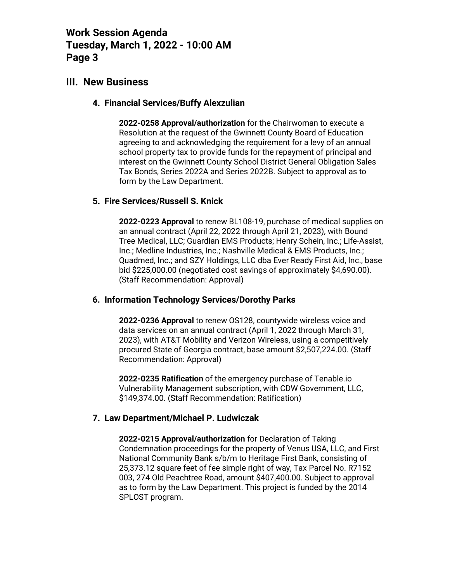### **III. New Business**

#### **4. Financial Services/Buffy Alexzulian**

**2022-0258 Approval/authorization** for the Chairwoman to execute a Resolution at the request of the Gwinnett County Board of Education agreeing to and acknowledging the requirement for a levy of an annual school property tax to provide funds for the repayment of principal and interest on the Gwinnett County School District General Obligation Sales Tax Bonds, Series 2022A and Series 2022B. Subject to approval as to form by the Law Department.

#### **5. Fire Services/Russell S. Knick**

**2022-0223 Approval** to renew BL108-19, purchase of medical supplies on an annual contract (April 22, 2022 through April 21, 2023), with Bound Tree Medical, LLC; Guardian EMS Products; Henry Schein, Inc.; Life-Assist, Inc.; Medline Industries, Inc.; Nashville Medical & EMS Products, Inc.; Quadmed, Inc.; and SZY Holdings, LLC dba Ever Ready First Aid, Inc., base bid \$225,000.00 (negotiated cost savings of approximately \$4,690.00). (Staff Recommendation: Approval)

#### **6. Information Technology Services/Dorothy Parks**

**2022-0236 Approval** to renew OS128, countywide wireless voice and data services on an annual contract (April 1, 2022 through March 31, 2023), with AT&T Mobility and Verizon Wireless, using a competitively procured State of Georgia contract, base amount \$2,507,224.00. (Staff Recommendation: Approval)

**2022-0235 Ratification** of the emergency purchase of Tenable.io Vulnerability Management subscription, with CDW Government, LLC, \$149,374.00. (Staff Recommendation: Ratification)

#### **7. Law Department/Michael P. Ludwiczak**

**2022-0215 Approval/authorization** for Declaration of Taking Condemnation proceedings for the property of Venus USA, LLC, and First National Community Bank s/b/m to Heritage First Bank, consisting of 25,373.12 square feet of fee simple right of way, Tax Parcel No. R7152 003, 274 Old Peachtree Road, amount \$407,400.00. Subject to approval as to form by the Law Department. This project is funded by the 2014 SPLOST program.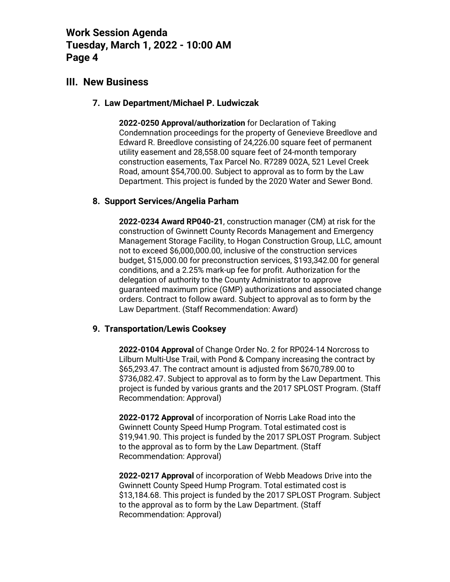### **III. New Business**

#### **7. Law Department/Michael P. Ludwiczak**

**2022-0250 Approval/authorization** for Declaration of Taking Condemnation proceedings for the property of Genevieve Breedlove and Edward R. Breedlove consisting of 24,226.00 square feet of permanent utility easement and 28,558.00 square feet of 24-month temporary construction easements, Tax Parcel No. R7289 002A, 521 Level Creek Road, amount \$54,700.00. Subject to approval as to form by the Law Department. This project is funded by the 2020 Water and Sewer Bond.

#### **8. Support Services/Angelia Parham**

**2022-0234 Award RP040-21**, construction manager (CM) at risk for the construction of Gwinnett County Records Management and Emergency Management Storage Facility, to Hogan Construction Group, LLC, amount not to exceed \$6,000,000.00, inclusive of the construction services budget, \$15,000.00 for preconstruction services, \$193,342.00 for general conditions, and a 2.25% mark-up fee for profit. Authorization for the delegation of authority to the County Administrator to approve guaranteed maximum price (GMP) authorizations and associated change orders. Contract to follow award. Subject to approval as to form by the Law Department. (Staff Recommendation: Award)

#### **9. Transportation/Lewis Cooksey**

**2022-0104 Approval** of Change Order No. 2 for RP024-14 Norcross to Lilburn Multi-Use Trail, with Pond & Company increasing the contract by \$65,293.47. The contract amount is adjusted from \$670,789.00 to \$736,082.47. Subject to approval as to form by the Law Department. This project is funded by various grants and the 2017 SPLOST Program. (Staff Recommendation: Approval)

**2022-0172 Approval** of incorporation of Norris Lake Road into the Gwinnett County Speed Hump Program. Total estimated cost is \$19,941.90. This project is funded by the 2017 SPLOST Program. Subject to the approval as to form by the Law Department. (Staff Recommendation: Approval)

**2022-0217 Approval** of incorporation of Webb Meadows Drive into the Gwinnett County Speed Hump Program. Total estimated cost is \$13,184.68. This project is funded by the 2017 SPLOST Program. Subject to the approval as to form by the Law Department. (Staff Recommendation: Approval)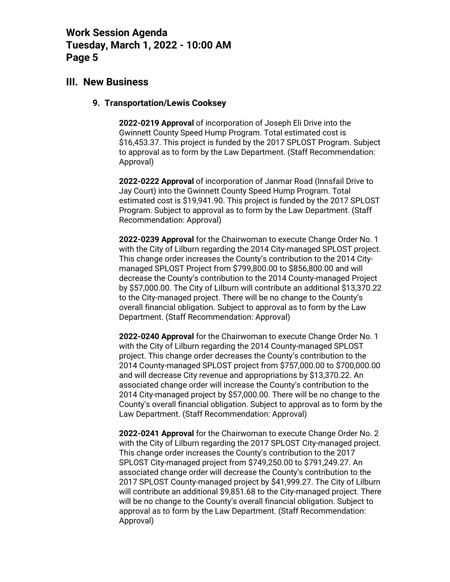### **III. New Business**

#### **9. Transportation/Lewis Cooksey**

**2022-0219 Approval** of incorporation of Joseph Eli Drive into the Gwinnett County Speed Hump Program. Total estimated cost is \$16,453.37. This project is funded by the 2017 SPLOST Program. Subject to approval as to form by the Law Department. (Staff Recommendation: Approval)

**2022-0222 Approval** of incorporation of Janmar Road (Innsfail Drive to Jay Court) into the Gwinnett County Speed Hump Program. Total estimated cost is \$19,941.90. This project is funded by the 2017 SPLOST Program. Subject to approval as to form by the Law Department. (Staff Recommendation: Approval)

**2022-0239 Approval** for the Chairwoman to execute Change Order No. 1 with the City of Lilburn regarding the 2014 City-managed SPLOST project. This change order increases the County's contribution to the 2014 Citymanaged SPLOST Project from \$799,800.00 to \$856,800.00 and will decrease the County's contribution to the 2014 County-managed Project by \$57,000.00. The City of Lilburn will contribute an additional \$13,370.22 to the City-managed project. There will be no change to the County's overall financial obligation. Subject to approval as to form by the Law Department. (Staff Recommendation: Approval)

**2022-0240 Approval** for the Chairwoman to execute Change Order No. 1 with the City of Lilburn regarding the 2014 County-managed SPLOST project. This change order decreases the County's contribution to the 2014 County-managed SPLOST project from \$757,000.00 to \$700,000.00 and will decrease City revenue and appropriations by \$13,370.22. An associated change order will increase the County's contribution to the 2014 City-managed project by \$57,000.00. There will be no change to the County's overall financial obligation. Subject to approval as to form by the Law Department. (Staff Recommendation: Approval)

**2022-0241 Approval** for the Chairwoman to execute Change Order No. 2 with the City of Lilburn regarding the 2017 SPLOST City-managed project. This change order increases the County's contribution to the 2017 SPLOST City-managed project from \$749,250.00 to \$791,249.27. An associated change order will decrease the County's contribution to the 2017 SPLOST County-managed project by \$41,999.27. The City of Lilburn will contribute an additional \$9,851.68 to the City-managed project. There will be no change to the County's overall financial obligation. Subject to approval as to form by the Law Department. (Staff Recommendation: Approval)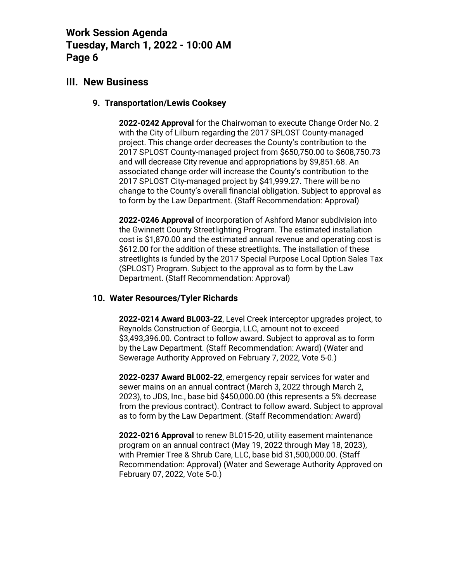### **III. New Business**

#### **9. Transportation/Lewis Cooksey**

**2022-0242 Approval** for the Chairwoman to execute Change Order No. 2 with the City of Lilburn regarding the 2017 SPLOST County-managed project. This change order decreases the County's contribution to the 2017 SPLOST County-managed project from \$650,750.00 to \$608,750.73 and will decrease City revenue and appropriations by \$9,851.68. An associated change order will increase the County's contribution to the 2017 SPLOST City-managed project by \$41,999.27. There will be no change to the County's overall financial obligation. Subject to approval as to form by the Law Department. (Staff Recommendation: Approval)

**2022-0246 Approval** of incorporation of Ashford Manor subdivision into the Gwinnett County Streetlighting Program. The estimated installation cost is \$1,870.00 and the estimated annual revenue and operating cost is \$612.00 for the addition of these streetlights. The installation of these streetlights is funded by the 2017 Special Purpose Local Option Sales Tax (SPLOST) Program. Subject to the approval as to form by the Law Department. (Staff Recommendation: Approval)

#### **10. Water Resources/Tyler Richards**

**2022-0214 Award BL003-22**, Level Creek interceptor upgrades project, to Reynolds Construction of Georgia, LLC, amount not to exceed \$3,493,396.00. Contract to follow award. Subject to approval as to form by the Law Department. (Staff Recommendation: Award) (Water and Sewerage Authority Approved on February 7, 2022, Vote 5-0.)

**2022-0237 Award BL002-22**, emergency repair services for water and sewer mains on an annual contract (March 3, 2022 through March 2, 2023), to JDS, Inc., base bid \$450,000.00 (this represents a 5% decrease from the previous contract). Contract to follow award. Subject to approval as to form by the Law Department. (Staff Recommendation: Award)

**2022-0216 Approval** to renew BL015-20, utility easement maintenance program on an annual contract (May 19, 2022 through May 18, 2023), with Premier Tree & Shrub Care, LLC, base bid \$1,500,000.00. (Staff Recommendation: Approval) (Water and Sewerage Authority Approved on February 07, 2022, Vote 5-0.)